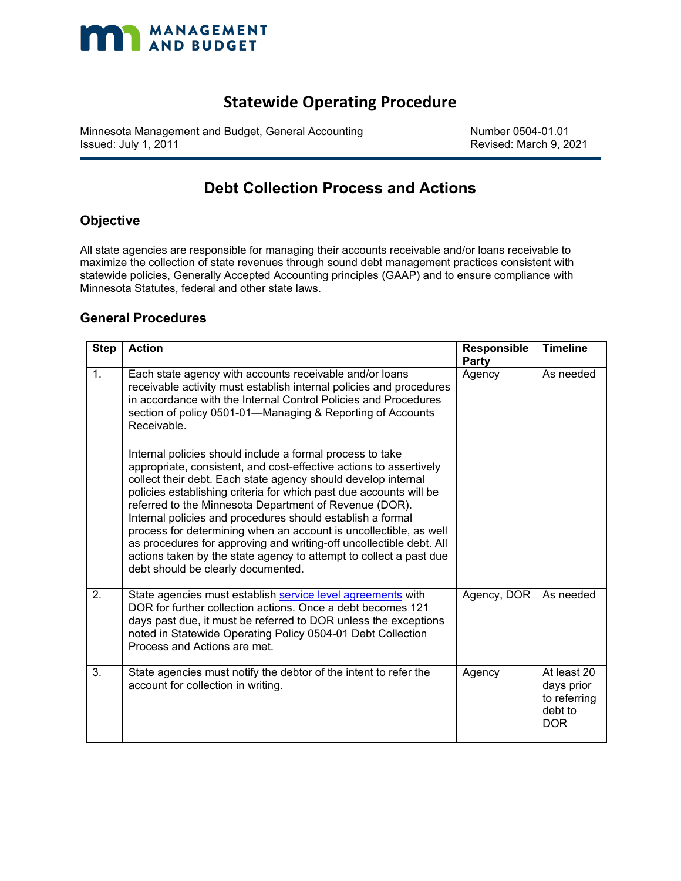

### **Statewide Operating Procedure**

Minnesota Management and Budget, General Accounting Number 0504-01.01<br>Issued: July 1, 2011

Revised: March 9, 2021

## **Debt Collection Process and Actions**

#### **Objective**

All state agencies are responsible for managing their accounts receivable and/or loans receivable to maximize the collection of state revenues through sound debt management practices consistent with statewide policies, Generally Accepted Accounting principles (GAAP) and to ensure compliance with Minnesota Statutes, federal and other state laws.

#### **General Procedures**

| <b>Step</b> | <b>Action</b>                                                                                                                                                                                                                                                                                                                                                                                                                                                                                                                                                                                                                                                                                                                                                                                                                                                                                                                            | <b>Responsible</b><br>Party | <b>Timeline</b>                                                    |
|-------------|------------------------------------------------------------------------------------------------------------------------------------------------------------------------------------------------------------------------------------------------------------------------------------------------------------------------------------------------------------------------------------------------------------------------------------------------------------------------------------------------------------------------------------------------------------------------------------------------------------------------------------------------------------------------------------------------------------------------------------------------------------------------------------------------------------------------------------------------------------------------------------------------------------------------------------------|-----------------------------|--------------------------------------------------------------------|
| 1.          | Each state agency with accounts receivable and/or loans<br>receivable activity must establish internal policies and procedures<br>in accordance with the Internal Control Policies and Procedures<br>section of policy 0501-01—Managing & Reporting of Accounts<br>Receivable.<br>Internal policies should include a formal process to take<br>appropriate, consistent, and cost-effective actions to assertively<br>collect their debt. Each state agency should develop internal<br>policies establishing criteria for which past due accounts will be<br>referred to the Minnesota Department of Revenue (DOR).<br>Internal policies and procedures should establish a formal<br>process for determining when an account is uncollectible, as well<br>as procedures for approving and writing-off uncollectible debt. All<br>actions taken by the state agency to attempt to collect a past due<br>debt should be clearly documented. | Agency                      | As needed                                                          |
| 2.          | State agencies must establish service level agreements with<br>DOR for further collection actions. Once a debt becomes 121<br>days past due, it must be referred to DOR unless the exceptions<br>noted in Statewide Operating Policy 0504-01 Debt Collection<br>Process and Actions are met.                                                                                                                                                                                                                                                                                                                                                                                                                                                                                                                                                                                                                                             | Agency, DOR                 | As needed                                                          |
| 3.          | State agencies must notify the debtor of the intent to refer the<br>account for collection in writing.                                                                                                                                                                                                                                                                                                                                                                                                                                                                                                                                                                                                                                                                                                                                                                                                                                   | Agency                      | At least 20<br>days prior<br>to referring<br>debt to<br><b>DOR</b> |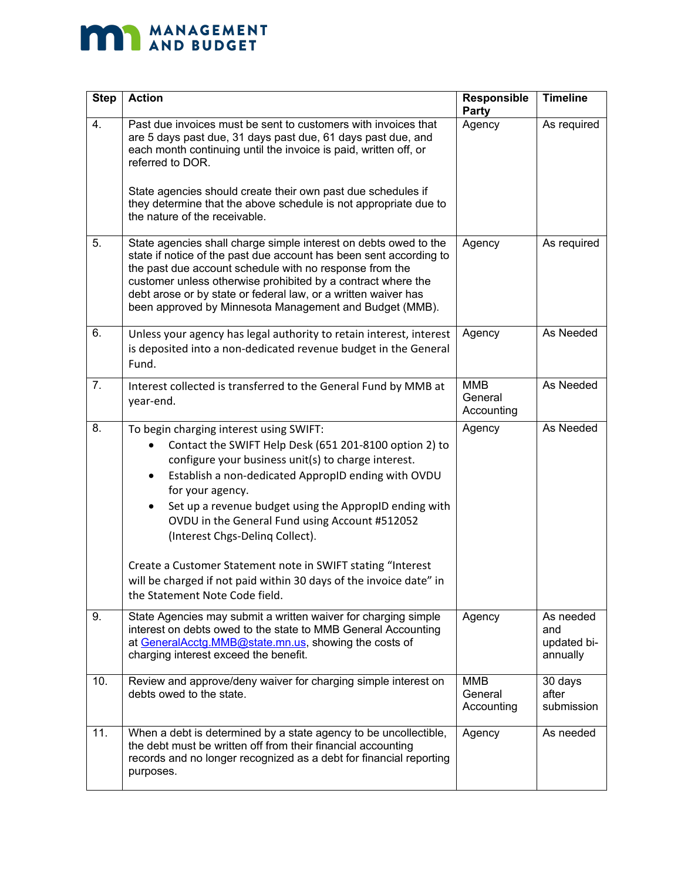# **MANAGEMENT**

| <b>Step</b> | <b>Action</b>                                                                                                                                                                                                                                                                                                                                                                                                | Responsible<br><b>Party</b>         | <b>Timeline</b>                             |
|-------------|--------------------------------------------------------------------------------------------------------------------------------------------------------------------------------------------------------------------------------------------------------------------------------------------------------------------------------------------------------------------------------------------------------------|-------------------------------------|---------------------------------------------|
| 4.          | Past due invoices must be sent to customers with invoices that<br>are 5 days past due, 31 days past due, 61 days past due, and<br>each month continuing until the invoice is paid, written off, or<br>referred to DOR.<br>State agencies should create their own past due schedules if<br>they determine that the above schedule is not appropriate due to<br>the nature of the receivable.                  | Agency                              | As required                                 |
| 5.          | State agencies shall charge simple interest on debts owed to the<br>state if notice of the past due account has been sent according to<br>the past due account schedule with no response from the<br>customer unless otherwise prohibited by a contract where the<br>debt arose or by state or federal law, or a written waiver has<br>been approved by Minnesota Management and Budget (MMB).               | Agency                              | As required                                 |
| 6.          | Unless your agency has legal authority to retain interest, interest<br>is deposited into a non-dedicated revenue budget in the General<br>Fund.                                                                                                                                                                                                                                                              | Agency                              | As Needed                                   |
| 7.          | Interest collected is transferred to the General Fund by MMB at<br>year-end.                                                                                                                                                                                                                                                                                                                                 | <b>MMB</b><br>General<br>Accounting | As Needed                                   |
| 8.          | To begin charging interest using SWIFT:<br>Contact the SWIFT Help Desk (651 201-8100 option 2) to<br>configure your business unit(s) to charge interest.<br>Establish a non-dedicated AppropID ending with OVDU<br>$\bullet$<br>for your agency.<br>Set up a revenue budget using the AppropID ending with<br>$\bullet$<br>OVDU in the General Fund using Account #512052<br>(Interest Chgs-Deling Collect). | Agency                              | As Needed                                   |
|             | Create a Customer Statement note in SWIFT stating "Interest<br>will be charged if not paid within 30 days of the invoice date" in<br>the Statement Note Code field.                                                                                                                                                                                                                                          |                                     |                                             |
| 9.          | State Agencies may submit a written waiver for charging simple<br>interest on debts owed to the state to MMB General Accounting<br>at GeneralAcctg.MMB@state.mn.us, showing the costs of<br>charging interest exceed the benefit.                                                                                                                                                                            | Agency                              | As needed<br>and<br>updated bi-<br>annually |
| 10.         | Review and approve/deny waiver for charging simple interest on<br>debts owed to the state.                                                                                                                                                                                                                                                                                                                   | <b>MMB</b><br>General<br>Accounting | 30 days<br>after<br>submission              |
| 11.         | When a debt is determined by a state agency to be uncollectible,<br>the debt must be written off from their financial accounting<br>records and no longer recognized as a debt for financial reporting<br>purposes.                                                                                                                                                                                          | Agency                              | As needed                                   |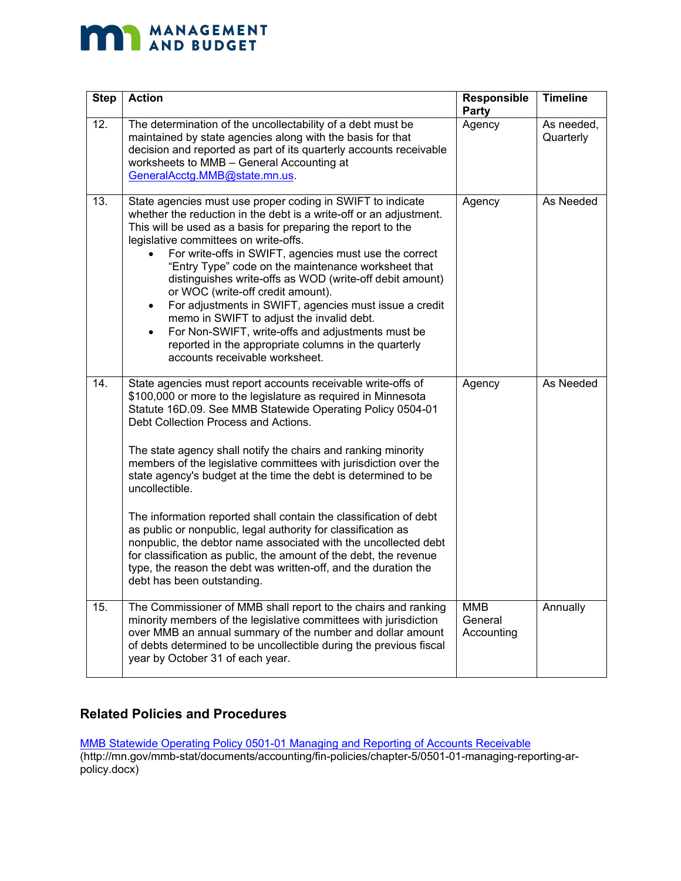# **MANAGEMENT**

| <b>Step</b> | <b>Action</b>                                                                                                                                                                                                                                                                                                                                                                                                                                                                                                                                                                                                                                                                                                                                                                                                                               | Responsible<br>Party                | <b>Timeline</b>         |
|-------------|---------------------------------------------------------------------------------------------------------------------------------------------------------------------------------------------------------------------------------------------------------------------------------------------------------------------------------------------------------------------------------------------------------------------------------------------------------------------------------------------------------------------------------------------------------------------------------------------------------------------------------------------------------------------------------------------------------------------------------------------------------------------------------------------------------------------------------------------|-------------------------------------|-------------------------|
| 12.         | The determination of the uncollectability of a debt must be<br>maintained by state agencies along with the basis for that<br>decision and reported as part of its quarterly accounts receivable<br>worksheets to MMB - General Accounting at<br>GeneralAcctg.MMB@state.mn.us.                                                                                                                                                                                                                                                                                                                                                                                                                                                                                                                                                               | Agency                              | As needed,<br>Quarterly |
| 13.         | State agencies must use proper coding in SWIFT to indicate<br>whether the reduction in the debt is a write-off or an adjustment.<br>This will be used as a basis for preparing the report to the<br>legislative committees on write-offs.<br>For write-offs in SWIFT, agencies must use the correct<br>"Entry Type" code on the maintenance worksheet that<br>distinguishes write-offs as WOD (write-off debit amount)<br>or WOC (write-off credit amount).<br>For adjustments in SWIFT, agencies must issue a credit<br>$\bullet$<br>memo in SWIFT to adjust the invalid debt.<br>For Non-SWIFT, write-offs and adjustments must be<br>$\bullet$<br>reported in the appropriate columns in the quarterly<br>accounts receivable worksheet.                                                                                                 | Agency                              | As Needed               |
| 14.         | State agencies must report accounts receivable write-offs of<br>\$100,000 or more to the legislature as required in Minnesota<br>Statute 16D.09. See MMB Statewide Operating Policy 0504-01<br>Debt Collection Process and Actions.<br>The state agency shall notify the chairs and ranking minority<br>members of the legislative committees with jurisdiction over the<br>state agency's budget at the time the debt is determined to be<br>uncollectible.<br>The information reported shall contain the classification of debt<br>as public or nonpublic, legal authority for classification as<br>nonpublic, the debtor name associated with the uncollected debt<br>for classification as public, the amount of the debt, the revenue<br>type, the reason the debt was written-off, and the duration the<br>debt has been outstanding. | Agency                              | As Needed               |
| 15.         | The Commissioner of MMB shall report to the chairs and ranking<br>minority members of the legislative committees with jurisdiction<br>over MMB an annual summary of the number and dollar amount<br>of debts determined to be uncollectible during the previous fiscal<br>year by October 31 of each year.                                                                                                                                                                                                                                                                                                                                                                                                                                                                                                                                  | <b>MMB</b><br>General<br>Accounting | Annually                |

### **Related Policies and Procedures**

[MMB Statewide Operating Policy 0501-01 Managing and Reporting of Accounts Receivable](http://mn.gov/mmb-stat/documents/accounting/fin-policies/chapter-5/0501-01-managing-reporting-ar-policy.docx) (http://mn.gov/mmb-stat/documents/accounting/fin-policies/chapter-5/0501-01-managing-reporting-arpolicy.docx)